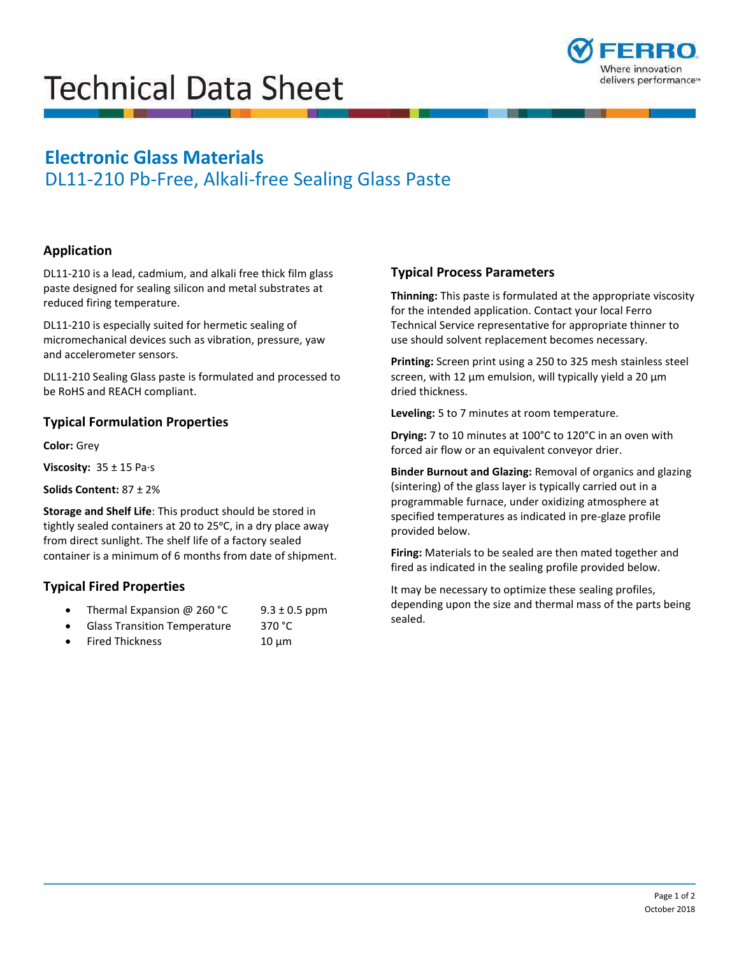# **Technical Data Sheet**



## **Electronic Glass Materials**

DL11-210 Pb-Free, Alkali-free Sealing Glass Paste

#### **Application**

DL11-210 is a lead, cadmium, and alkali free thick film glass paste designed for sealing silicon and metal substrates at reduced firing temperature.

DL11-210 is especially suited for hermetic sealing of micromechanical devices such as vibration, pressure, yaw and accelerometer sensors.

DL11-210 Sealing Glass paste is formulated and processed to be RoHS and REACH compliant.

#### **Typical Formulation Properties**

**Color:** Grey

**Viscosity:** 35 ± 15 Pa∙s

**Solids Content:** 87 ± 2%

tightly sealed containers at 20 to 25°C, in a dry place away container is a minimum of 6 months from date of shipment. **Storage and Shelf Life**: This product should be stored in from direct sunlight. The shelf life of a factory sealed

### **Typical Fired Properties**

- Thermal Expansion @ 260 °C 9.3  $\pm$  0.5 ppm
- Glass Transition Temperature 370 °C
- Fired Thickness  $10 \mu m$

#### **Typical Process Parameters**

 **Thinning:** This paste is formulated at the appropriate viscosity for the intended application. Contact your local Ferro Technical Service representative for appropriate thinner to use should solvent replacement becomes necessary.

 **Printing:** Screen print using a 250 to 325 mesh stainless steel screen, with 12 µm emulsion, will typically yield a 20 µm dried thickness.

**Leveling:** 5 to 7 minutes at room temperature.

 **Drying:** 7 to 10 minutes at 100°C to 120°C in an oven with forced air flow or an equivalent conveyor drier.

**Binder Burnout and Glazing:** Removal of organics and glazing (sintering) of the glass layer is typically carried out in a programmable furnace, under oxidizing atmosphere at specified temperatures as indicated in pre-glaze profile provided below.

 fired as indicated in the sealing profile provided below. **Firing:** Materials to be sealed are then mated together and

It may be necessary to optimize these sealing profiles, depending upon the size and thermal mass of the parts being sealed.